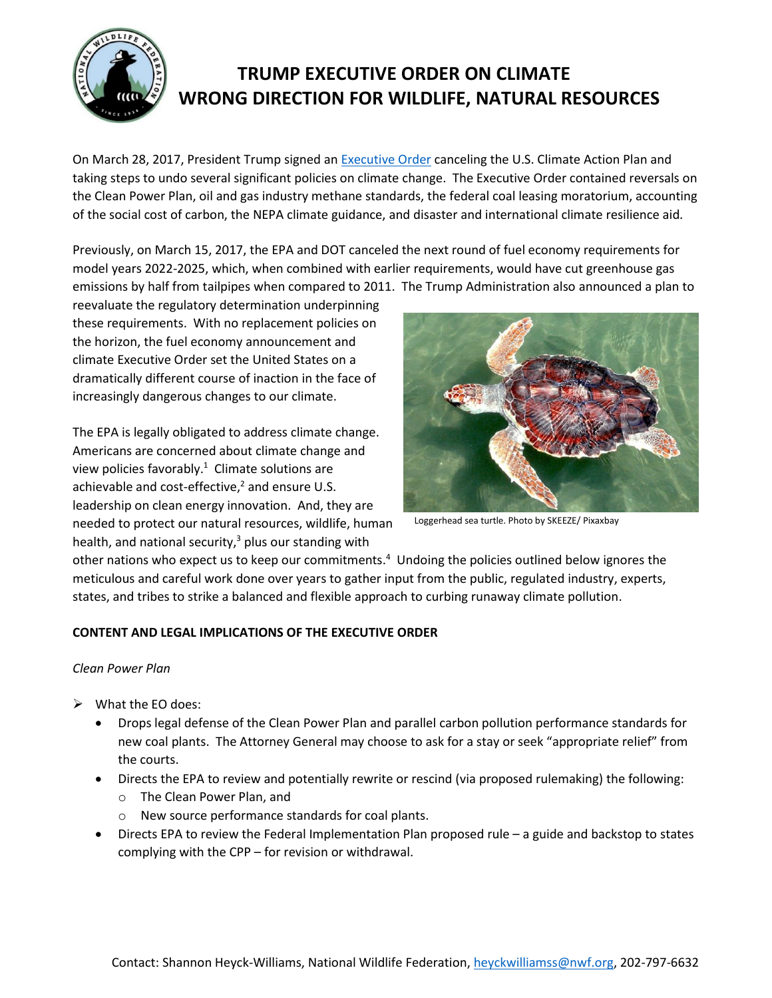

# **TRUMP EXECUTIVE ORDER ON CLIMATE WRONG DIRECTION FOR WILDLIFE, NATURAL RESOURCES**

On March 28, 2017, President Trump signed a[n Executive Order](https://www.whitehouse.gov/the-press-office/2017/03/28/presidential-executive-order-promoting-energy-independence-and-economi-1) canceling the U.S. Climate Action Plan and taking steps to undo several significant policies on climate change. The Executive Order contained reversals on the Clean Power Plan, oil and gas industry methane standards, the federal coal leasing moratorium, accounting of the social cost of carbon, the NEPA climate guidance, and disaster and international climate resilience aid.

Previously, on March 15, 2017, the EPA and DOT canceled the next round of fuel economy requirements for model years 2022-2025, which, when combined with earlier requirements, would have cut greenhouse gas emissions by half from tailpipes when compared to 2011. The Trump Administration also announced a plan to

reevaluate the regulatory determination underpinning these requirements. With no replacement policies on the horizon, the fuel economy announcement and climate Executive Order set the United States on a dramatically different course of inaction in the face of increasingly dangerous changes to our climate.

The EPA is legally obligated to address climate change. Americans are concerned about climate change and view policies favorably. $1$  Climate solutions are achievable and cost-effective, <sup>2</sup> and ensure U.S. leadership on clean energy innovation. And, they are needed to protect our natural resources, wildlife, human health, and national security, $3$  plus our standing with



Loggerhead sea turtle. Photo by SKEEZE/ Pixaxbay

other nations who expect us to keep our commitments.<sup>4</sup> Undoing the policies outlined below ignores the meticulous and careful work done over years to gather input from the public, regulated industry, experts, states, and tribes to strike a balanced and flexible approach to curbing runaway climate pollution.

# **CONTENT AND LEGAL IMPLICATIONS OF THE EXECUTIVE ORDER**

# *Clean Power Plan*

- $\triangleright$  What the EO does:
	- Drops legal defense of the Clean Power Plan and parallel carbon pollution performance standards for new coal plants. The Attorney General may choose to ask for a stay or seek "appropriate relief" from the courts.
	- Directs the EPA to review and potentially rewrite or rescind (via proposed rulemaking) the following:
		- o The Clean Power Plan, and
		- o New source performance standards for coal plants.
	- Directs EPA to review the Federal Implementation Plan proposed rule a guide and backstop to states complying with the CPP – for revision or withdrawal.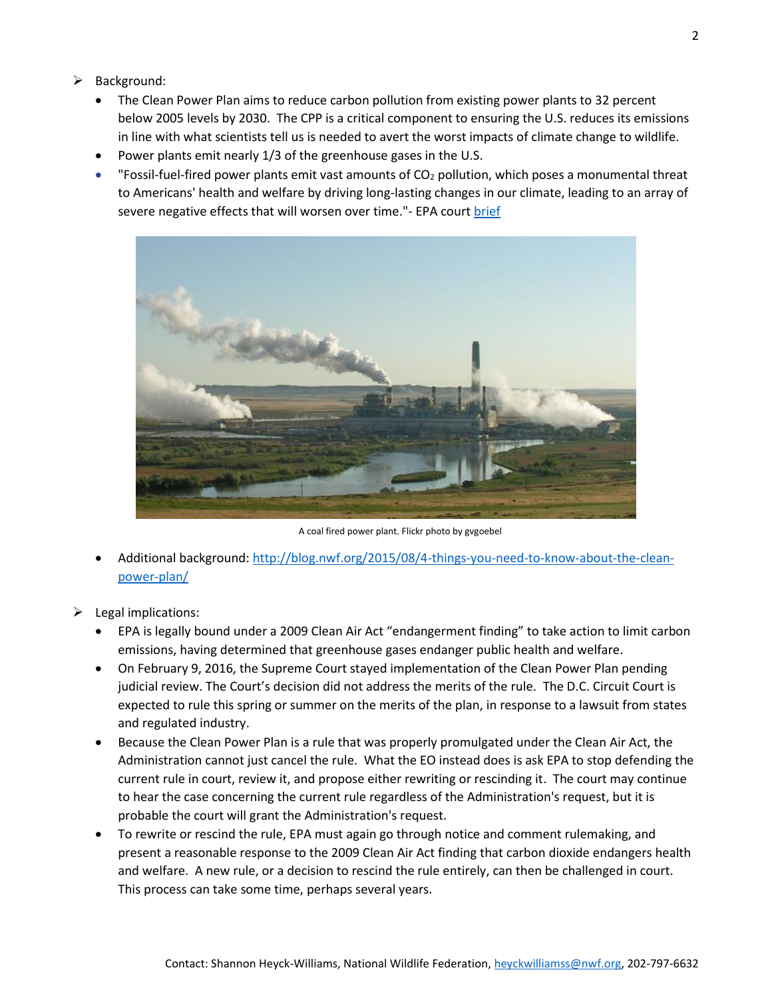- $\triangleright$  Background:
	- The Clean Power Plan aims to reduce carbon pollution from existing power plants to 32 percent below 2005 levels by 2030. The CPP is a critical component to ensuring the U.S. reduces its emissions in line with what scientists tell us is needed to avert the worst impacts of climate change to wildlife.
	- Power plants emit nearly 1/3 of the greenhouse gases in the U.S.
	- "Fossil-fuel-fired power plants emit vast amounts of  $CO<sub>2</sub>$  pollution, which poses a monumental threat to Americans' health and welfare by driving long-lasting changes in our climate, leading to an array of severe negative effects that will worsen over time."- EPA court [brief](http://www.eenews.net/assets/2016/12/15/document_gw_03.pdf)



A coal fired power plant. Flickr photo by gvgoebel

- Additional background: [http://blog.nwf.org/2015/08/4-things-you-need-to-know-about-the-clean](http://blog.nwf.org/2015/08/4-things-you-need-to-know-about-the-clean-power-plan/)[power-plan/](http://blog.nwf.org/2015/08/4-things-you-need-to-know-about-the-clean-power-plan/)
- $\blacktriangleright$  Legal implications:
	- EPA is legally bound under a 2009 Clean Air Act "endangerment finding" to take action to limit carbon emissions, having determined that greenhouse gases endanger public health and welfare.
	- On February 9, 2016, the Supreme Court stayed implementation of the Clean Power Plan pending judicial review. The Court's decision did not address the merits of the rule. The D.C. Circuit Court is expected to rule this spring or summer on the merits of the plan, in response to a lawsuit from states and regulated industry.
	- Because the Clean Power Plan is a rule that was properly promulgated under the Clean Air Act, the Administration cannot just cancel the rule. What the EO instead does is ask EPA to stop defending the current rule in court, review it, and propose either rewriting or rescinding it. The court may continue to hear the case concerning the current rule regardless of the Administration's request, but it is probable the court will grant the Administration's request.
	- To rewrite or rescind the rule, EPA must again go through notice and comment rulemaking, and present a reasonable response to the 2009 Clean Air Act finding that carbon dioxide endangers health and welfare. A new rule, or a decision to rescind the rule entirely, can then be challenged in court. This process can take some time, perhaps several years.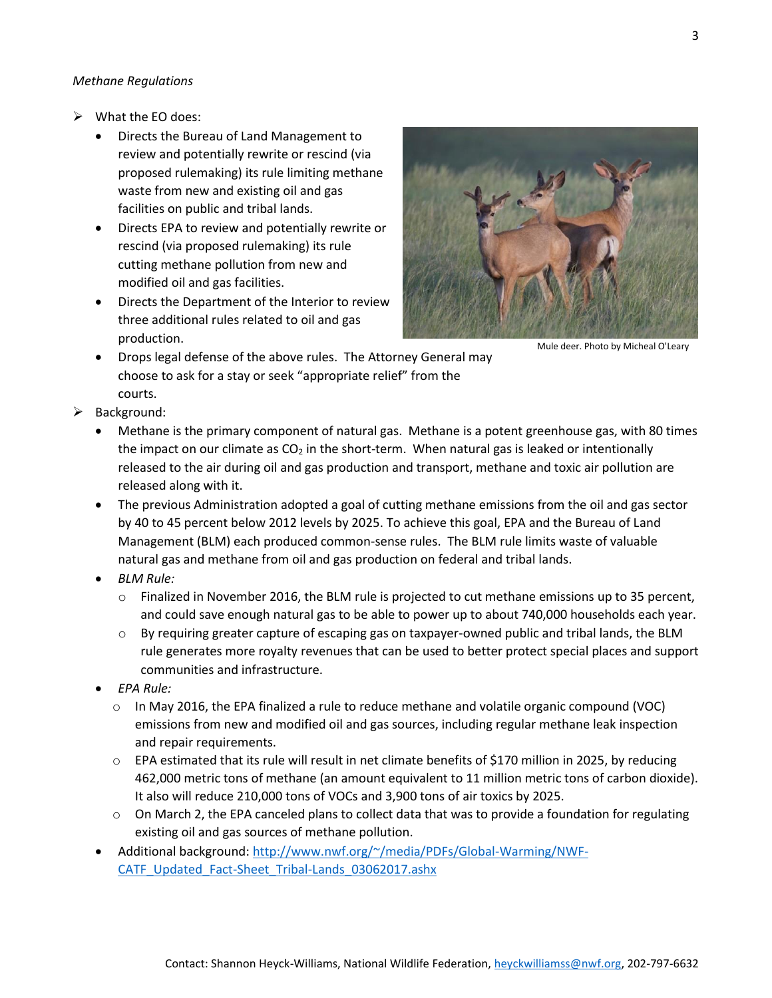#### *Methane Regulations*

- What the EO does:
	- Directs the Bureau of Land Management to review and potentially rewrite or rescind (via proposed rulemaking) its rule limiting methane waste from new and existing oil and gas facilities on public and tribal lands.
	- Directs EPA to review and potentially rewrite or rescind (via proposed rulemaking) its rule cutting methane pollution from new and modified oil and gas facilities.
	- Directs the Department of the Interior to review three additional rules related to oil and gas production.



Mule deer. Photo by Micheal O'Leary

- Drops legal defense of the above rules. The Attorney General may choose to ask for a stay or seek "appropriate relief" from the courts.
- $\triangleright$  Background:
	- Methane is the primary component of natural gas. Methane is a potent greenhouse gas, with 80 times the impact on our climate as  $CO<sub>2</sub>$  in the short-term. When natural gas is leaked or intentionally released to the air during oil and gas production and transport, methane and toxic air pollution are released along with it.
	- The previous Administration adopted a goal of cutting methane emissions from the oil and gas sector by 40 to 45 percent below 2012 levels by 2025. To achieve this goal, EPA and the Bureau of Land Management (BLM) each produced common-sense rules. The BLM rule limits waste of valuable natural gas and methane from oil and gas production on federal and tribal lands.
	- *BLM Rule:*
		- o Finalized in November 2016, the BLM rule is projected to cut methane emissions up to 35 percent, and could save enough natural gas to be able to power up to about 740,000 households each year.
		- $\circ$  By requiring greater capture of escaping gas on taxpayer-owned public and tribal lands, the BLM rule generates more royalty revenues that can be used to better protect special places and support communities and infrastructure.
	- *EPA Rule:*
		- $\circ$  In May 2016, the EPA finalized a rule to reduce methane and volatile organic compound (VOC) emissions from new and modified oil and gas sources, including regular methane leak inspection and repair requirements.
		- $\circ$  EPA estimated that its rule will result in net climate benefits of \$170 million in 2025, by reducing 462,000 metric tons of methane (an amount equivalent to 11 million metric tons of carbon dioxide). It also will reduce 210,000 tons of VOCs and 3,900 tons of air toxics by 2025.
		- o On March 2, the EPA canceled plans to collect data that was to provide a foundation for regulating existing oil and gas sources of methane pollution.
	- Additional background: [http://www.nwf.org/~/media/PDFs/Global-Warming/NWF-](http://www.nwf.org/~/media/PDFs/Global-Warming/NWF-CATF_Updated_Fact-Sheet_Tribal-Lands_03062017.ashx)CATF\_Updated\_Fact-Sheet\_Tribal-Lands\_03062017.ashx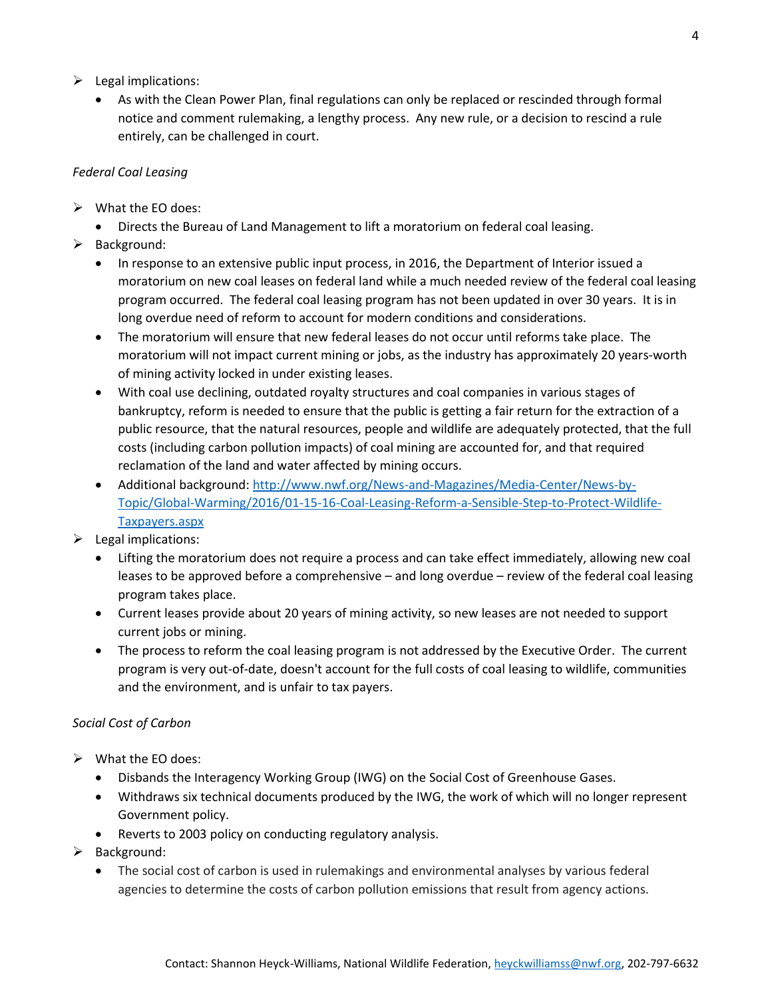- $\triangleright$  Legal implications:
	- As with the Clean Power Plan, final regulations can only be replaced or rescinded through formal notice and comment rulemaking, a lengthy process. Any new rule, or a decision to rescind a rule entirely, can be challenged in court.

### *Federal Coal Leasing*

- $\triangleright$  What the EO does:
- Directs the Bureau of Land Management to lift a moratorium on federal coal leasing.
- $\triangleright$  Background:
	- In response to an extensive public input process, in 2016, the Department of Interior issued a moratorium on new coal leases on federal land while a much needed review of the federal coal leasing program occurred. The federal coal leasing program has not been updated in over 30 years. It is in long overdue need of reform to account for modern conditions and considerations.
	- The moratorium will ensure that new federal leases do not occur until reforms take place. The moratorium will not impact current mining or jobs, as the industry has approximately 20 years-worth of mining activity locked in under existing leases.
	- With coal use declining, outdated royalty structures and coal companies in various stages of bankruptcy, reform is needed to ensure that the public is getting a fair return for the extraction of a public resource, that the natural resources, people and wildlife are adequately protected, that the full costs (including carbon pollution impacts) of coal mining are accounted for, and that required reclamation of the land and water affected by mining occurs.
	- Additional background: [http://www.nwf.org/News-and-Magazines/Media-Center/News-by-](http://www.nwf.org/News-and-Magazines/Media-Center/News-by-Topic/Global-Warming/2016/01-15-16-Coal-Leasing-Reform-a-Sensible-Step-to-Protect-Wildlife-Taxpayers.aspx)[Topic/Global-Warming/2016/01-15-16-Coal-Leasing-Reform-a-Sensible-Step-to-Protect-Wildlife-](http://www.nwf.org/News-and-Magazines/Media-Center/News-by-Topic/Global-Warming/2016/01-15-16-Coal-Leasing-Reform-a-Sensible-Step-to-Protect-Wildlife-Taxpayers.aspx)[Taxpayers.aspx](http://www.nwf.org/News-and-Magazines/Media-Center/News-by-Topic/Global-Warming/2016/01-15-16-Coal-Leasing-Reform-a-Sensible-Step-to-Protect-Wildlife-Taxpayers.aspx)
- $\blacktriangleright$  Legal implications:
	- Lifting the moratorium does not require a process and can take effect immediately, allowing new coal leases to be approved before a comprehensive – and long overdue – review of the federal coal leasing program takes place.
	- Current leases provide about 20 years of mining activity, so new leases are not needed to support current jobs or mining.
	- The process to reform the coal leasing program is not addressed by the Executive Order. The current program is very out-of-date, doesn't account for the full costs of coal leasing to wildlife, communities and the environment, and is unfair to tax payers.

#### *Social Cost of Carbon*

- $\triangleright$  What the EO does:
	- Disbands the Interagency Working Group (IWG) on the Social Cost of Greenhouse Gases.
	- Withdraws six technical documents produced by the IWG, the work of which will no longer represent Government policy.
	- Reverts to 2003 policy on conducting regulatory analysis.
- $\triangleright$  Background:
	- The social cost of carbon is used in rulemakings and environmental analyses by various federal agencies to determine the costs of carbon pollution emissions that result from agency actions.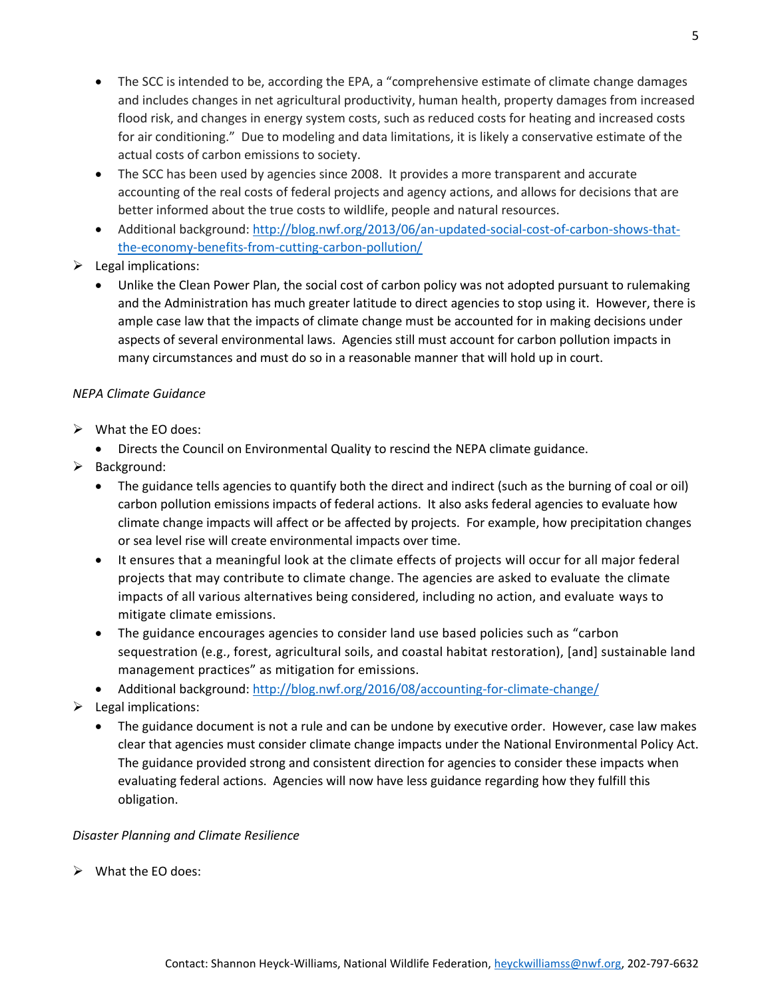- The SCC is intended to be, according the EPA, a "comprehensive estimate of climate change damages" and includes changes in net agricultural productivity, human health, property damages from increased flood risk, and changes in energy system costs, such as reduced costs for heating and increased costs for air conditioning." Due to modeling and data limitations, it is likely a conservative estimate of the actual costs of carbon emissions to society.
- The SCC has been used by agencies since 2008. It provides a more transparent and accurate accounting of the real costs of federal projects and agency actions, and allows for decisions that are better informed about the true costs to wildlife, people and natural resources.
- Additional background: [http://blog.nwf.org/2013/06/an-updated-social-cost-of-carbon-shows-that](http://blog.nwf.org/2013/06/an-updated-social-cost-of-carbon-shows-that-the-economy-benefits-from-cutting-carbon-pollution/)[the-economy-benefits-from-cutting-carbon-pollution/](http://blog.nwf.org/2013/06/an-updated-social-cost-of-carbon-shows-that-the-economy-benefits-from-cutting-carbon-pollution/)
- $\triangleright$  Legal implications:
	- Unlike the Clean Power Plan, the social cost of carbon policy was not adopted pursuant to rulemaking and the Administration has much greater latitude to direct agencies to stop using it. However, there is ample case law that the impacts of climate change must be accounted for in making decisions under aspects of several environmental laws. Agencies still must account for carbon pollution impacts in many circumstances and must do so in a reasonable manner that will hold up in court.

# *NEPA Climate Guidance*

- $\triangleright$  What the EO does:
	- Directs the Council on Environmental Quality to rescind the NEPA climate guidance.
- $\triangleright$  Background:
	- The guidance tells agencies to quantify both the direct and indirect (such as the burning of coal or oil) carbon pollution emissions impacts of federal actions. It also asks federal agencies to evaluate how climate change impacts will affect or be affected by projects. For example, how precipitation changes or sea level rise will create environmental impacts over time.
	- It ensures that a meaningful look at the climate effects of projects will occur for all major federal projects that may contribute to climate change. The agencies are asked to evaluate the climate impacts of all various alternatives being considered, including no action, and evaluate ways to mitigate climate emissions.
	- The guidance encourages agencies to consider land use based policies such as "carbon sequestration (e.g., forest, agricultural soils, and coastal habitat restoration), [and] sustainable land management practices" as mitigation for emissions.
	- Additional background:<http://blog.nwf.org/2016/08/accounting-for-climate-change/>
- $\blacktriangleright$  Legal implications:
	- The guidance document is not a rule and can be undone by executive order. However, case law makes clear that agencies must consider climate change impacts under the National Environmental Policy Act. The guidance provided strong and consistent direction for agencies to consider these impacts when evaluating federal actions. Agencies will now have less guidance regarding how they fulfill this obligation.

#### *Disaster Planning and Climate Resilience*

 $\triangleright$  What the EO does: